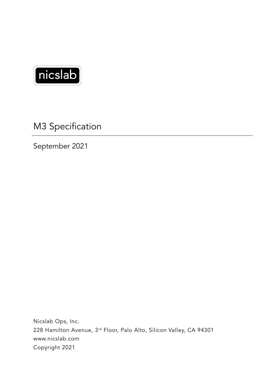

M3 Specification

September 2021

Nicslab Ops, Inc. 228 Hamilton Avenue, 3rd Floor, Palo Alto, Silicon Valley, CA 94301 www.nicslab.com Copyright 2021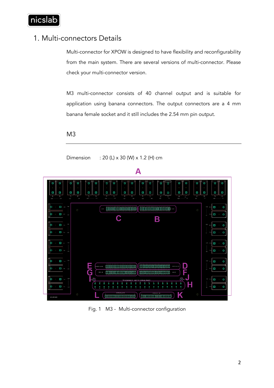

## 1. Multi-connectors Details

Multi-connector for XPOW is designed to have flexibility and reconfigurability from the main system. There are several versions of multi-connector. Please check your multi-connector version.

M3 multi-connector consists of 40 channel output and is suitable for application using banana connectors. The output connectors are a 4 mm banana female socket and it still includes the 2.54 mm pin output.

## M3

Dimension : 20 (L) x 30 (W) x 1.2 (H) cm



Fig. 1 M3 - Multi-connector configuration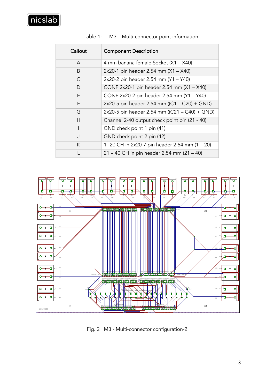| Callout      | <b>Component Description</b>                   |
|--------------|------------------------------------------------|
| A            | 4 mm banana female Socket (X1 - X40)           |
| B            | 2x20-1 pin header 2.54 mm (X1 - X40)           |
| C            | 2x20-2 pin header 2.54 mm (Y1 - Y40)           |
| D            | CONF 2x20-1 pin header 2.54 mm (X1 - X40)      |
| F            | CONF 2x20-2 pin header 2.54 mm (Y1 - Y40)      |
| F            | 2x20-5 pin header 2.54 mm ((C1 - C20) + GND)   |
| G            | 2x20-5 pin header 2.54 mm ((C21 - C40) + GND)  |
| H            | Channel 2-40 output check point pin (21 - 40)  |
|              | GND check point 1 pin (41)                     |
| J            | GND check point 2 pin (42)                     |
| K            | 1 -20 CH in 2x20-7 pin header 2.54 mm (1 - 20) |
| $\mathsf{L}$ | 21 - 40 CH in pin header 2.54 mm (21 - 40)     |

Table 1: M3 – Multi-connector point information



Fig. 2 M3 - Multi-connector configuration-2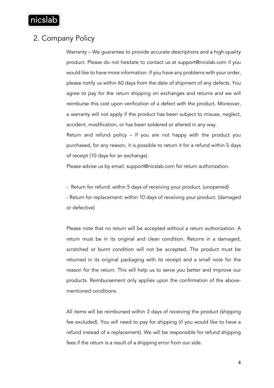

## 2. Company Policy

Warranty – We guarantee to provide accurate descriptions and a high-quality product. Please do not hesitate to contact us at support@nicslab.com if you would like to have more information. If you have any problems with your order, please notify us within 60 days from the date of shipment of any defects. You agree to pay for the return shipping on exchanges and returns and we will reimburse this cost upon verification of a defect with the product. Moreover, a warranty will not apply if the product has been subject to misuse, neglect, accident, modification, or has been soldered or altered in any way.

Return and refund policy – If you are not happy with the product you purchased, for any reason, it is possible to return it for a refund within 5 days of receipt (10 days for an exchange).

Please advise us by email: support@nicslab.com for return authorization.

- Return for refund: within 5 days of receiving your product. (unopened) - Return for replacement: within 10 days of receiving your product. (damaged or defective)

Please note that no return will be accepted without a return authorization. A return must be in its original and clean condition. Returns in a damaged, scratched or burnt condition will not be accepted. The product must be returned in its original packaging with its receipt and a small note for the reason for the return. This will help us to serve you better and improve our products. Reimbursement only applies upon the confirmation of the abovementioned conditions.

All items will be reimbursed within 3 days of receiving the product (shipping fee excluded). You will need to pay for shipping (if you would like to have a refund instead of a replacement). We will be responsible for refund shipping fees if the return is a result of a shipping error from our side.